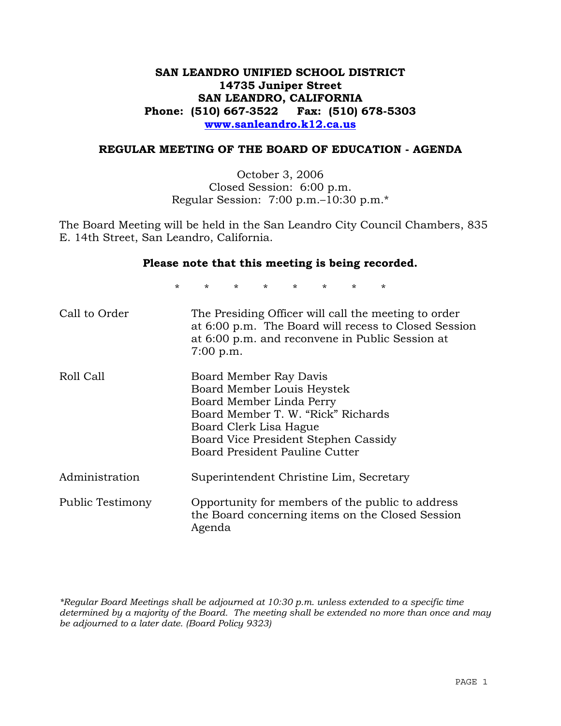## **SAN LEANDRO UNIFIED SCHOOL DISTRICT 14735 Juniper Street SAN LEANDRO, CALIFORNIA Phone: (510) 667-3522 Fax: (510) 678-5303 www.sanleandro.k12.ca.us**

### **REGULAR MEETING OF THE BOARD OF EDUCATION - AGENDA**

October 3, 2006 Closed Session: 6:00 p.m. Regular Session: 7:00 p.m.–10:30 p.m.\*

The Board Meeting will be held in the San Leandro City Council Chambers, 835 E. 14th Street, San Leandro, California.

#### **Please note that this meeting is being recorded.**

\* \* \* \* \* \* \* \*

| Call to Order    | The Presiding Officer will call the meeting to order<br>at 6:00 p.m. The Board will recess to Closed Session<br>at 6:00 p.m. and reconvene in Public Session at<br>$7:00$ p.m.                                             |
|------------------|----------------------------------------------------------------------------------------------------------------------------------------------------------------------------------------------------------------------------|
| Roll Call        | Board Member Ray Davis<br>Board Member Louis Heystek<br>Board Member Linda Perry<br>Board Member T. W. "Rick" Richards<br>Board Clerk Lisa Hague<br>Board Vice President Stephen Cassidy<br>Board President Pauline Cutter |
| Administration   | Superintendent Christine Lim, Secretary                                                                                                                                                                                    |
| Public Testimony | Opportunity for members of the public to address<br>the Board concerning items on the Closed Session<br>Agenda                                                                                                             |

*\*Regular Board Meetings shall be adjourned at 10:30 p.m. unless extended to a specific time determined by a majority of the Board. The meeting shall be extended no more than once and may be adjourned to a later date. (Board Policy 9323)*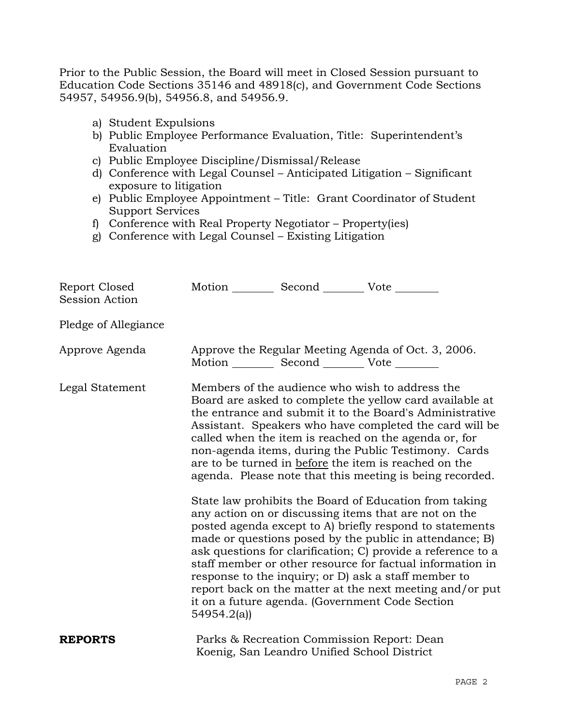Prior to the Public Session, the Board will meet in Closed Session pursuant to Education Code Sections 35146 and 48918(c), and Government Code Sections 54957, 54956.9(b), 54956.8, and 54956.9.

- a) Student Expulsions
- b) Public Employee Performance Evaluation, Title: Superintendent's Evaluation
- c) Public Employee Discipline/Dismissal/Release
- d) Conference with Legal Counsel Anticipated Litigation Significant exposure to litigation
- e) Public Employee Appointment Title: Grant Coordinator of Student Support Services
- f) Conference with Real Property Negotiator Property(ies)
- g) Conference with Legal Counsel Existing Litigation

| Report Closed<br><b>Session Action</b> | Motion __________ Second __________ Vote ________ |                                                                                           |                                                                                                                                                                                                                                                                                                                                                                                                                                                                                                                                                                                                                                                                                                                                                                                                                                                                                                                                                                                                                        |
|----------------------------------------|---------------------------------------------------|-------------------------------------------------------------------------------------------|------------------------------------------------------------------------------------------------------------------------------------------------------------------------------------------------------------------------------------------------------------------------------------------------------------------------------------------------------------------------------------------------------------------------------------------------------------------------------------------------------------------------------------------------------------------------------------------------------------------------------------------------------------------------------------------------------------------------------------------------------------------------------------------------------------------------------------------------------------------------------------------------------------------------------------------------------------------------------------------------------------------------|
| Pledge of Allegiance                   |                                                   |                                                                                           |                                                                                                                                                                                                                                                                                                                                                                                                                                                                                                                                                                                                                                                                                                                                                                                                                                                                                                                                                                                                                        |
| Approve Agenda                         | Motion __________ Second __________ Vote ________ |                                                                                           | Approve the Regular Meeting Agenda of Oct. 3, 2006.                                                                                                                                                                                                                                                                                                                                                                                                                                                                                                                                                                                                                                                                                                                                                                                                                                                                                                                                                                    |
| Legal Statement                        | 54954.2(a)                                        |                                                                                           | Members of the audience who wish to address the<br>Board are asked to complete the yellow card available at<br>the entrance and submit it to the Board's Administrative<br>Assistant. Speakers who have completed the card will be<br>called when the item is reached on the agenda or, for<br>non-agenda items, during the Public Testimony. Cards<br>are to be turned in before the item is reached on the<br>agenda. Please note that this meeting is being recorded.<br>State law prohibits the Board of Education from taking<br>any action on or discussing items that are not on the<br>posted agenda except to A) briefly respond to statements<br>made or questions posed by the public in attendance; B)<br>ask questions for clarification; C) provide a reference to a<br>staff member or other resource for factual information in<br>response to the inquiry; or D) ask a staff member to<br>report back on the matter at the next meeting and/or put<br>it on a future agenda. (Government Code Section |
| <b>REPORTS</b>                         |                                                   | Parks & Recreation Commission Report: Dean<br>Koenig, San Leandro Unified School District |                                                                                                                                                                                                                                                                                                                                                                                                                                                                                                                                                                                                                                                                                                                                                                                                                                                                                                                                                                                                                        |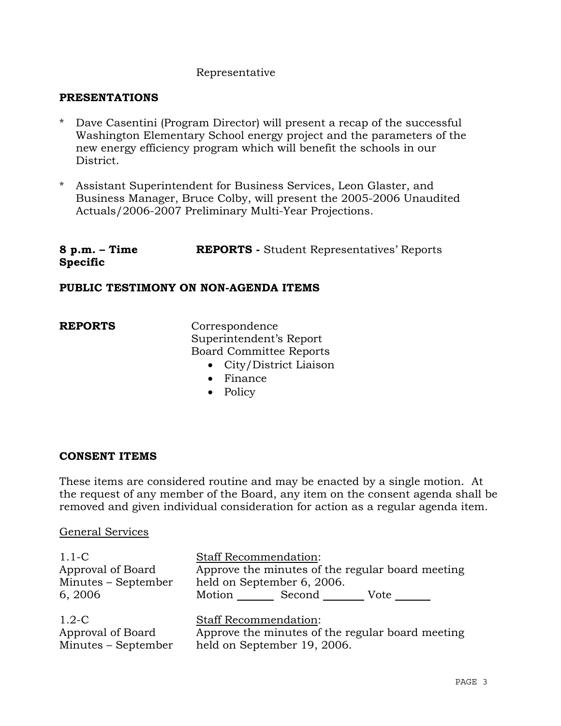## Representative

### **PRESENTATIONS**

- \* Dave Casentini (Program Director) will present a recap of the successful Washington Elementary School energy project and the parameters of the new energy efficiency program which will benefit the schools in our District.
- \* Assistant Superintendent for Business Services, Leon Glaster, and Business Manager, Bruce Colby, will present the 2005-2006 Unaudited Actuals/2006-2007 Preliminary Multi-Year Projections.

#### **8 p.m. – Time Specific REPORTS -** Student Representatives' Reports

### **PUBLIC TESTIMONY ON NON-AGENDA ITEMS**

**REPORTS** Correspondence Superintendent's Report Board Committee Reports

- City/District Liaison
- Finance
- Policy

#### **CONSENT ITEMS**

These items are considered routine and may be enacted by a single motion. At the request of any member of the Board, any item on the consent agenda shall be removed and given individual consideration for action as a regular agenda item.

#### General Services

Minutes – September

| $1.1-C$<br>Approval of Board<br>Minutes – September<br>6, 2006 | <b>Staff Recommendation:</b><br>Approve the minutes of the regular board meeting<br>held on September 6, 2006.<br>Motion<br>Second<br>Vote |
|----------------------------------------------------------------|--------------------------------------------------------------------------------------------------------------------------------------------|
| $1.2-C$                                                        | <b>Staff Recommendation:</b>                                                                                                               |
| Approval of Board                                              | Approve the minutes of the regular board meeting                                                                                           |

Approve the minutes of the regular board meeting held on September 19, 2006.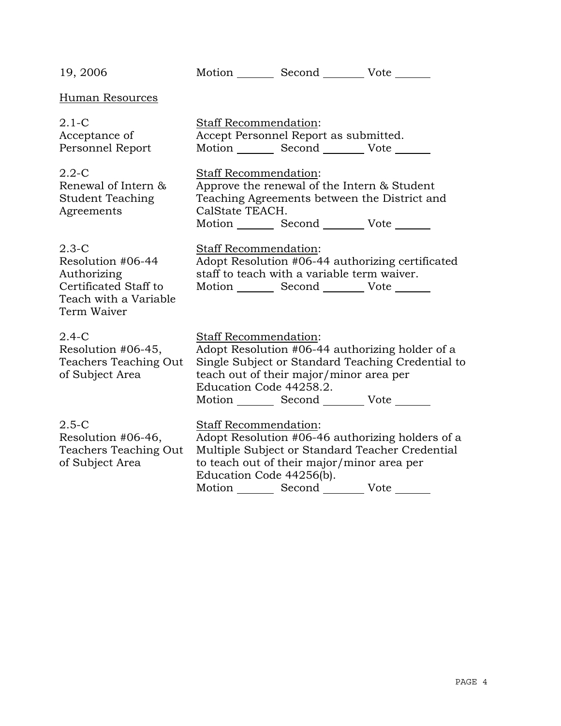| 19, 2006                                                                                                     |                                                          | Motion _________ Second __________ Vote _______                                                                                                |                                                                                                      |
|--------------------------------------------------------------------------------------------------------------|----------------------------------------------------------|------------------------------------------------------------------------------------------------------------------------------------------------|------------------------------------------------------------------------------------------------------|
| Human Resources                                                                                              |                                                          |                                                                                                                                                |                                                                                                      |
| $2.1-C$<br>Acceptance of<br>Personnel Report                                                                 | Staff Recommendation:                                    | Accept Personnel Report as submitted.<br>Motion _________ Second __________ Vote _______                                                       |                                                                                                      |
| $2.2 - C$<br>Renewal of Intern &<br><b>Student Teaching</b><br>Agreements                                    | <b>Staff Recommendation:</b><br>CalState TEACH.          | Approve the renewal of the Intern & Student<br>Teaching Agreements between the District and<br>Motion _________ Second __________ Vote _______ |                                                                                                      |
| $2.3-C$<br>Resolution #06-44<br>Authorizing<br>Certificated Staff to<br>Teach with a Variable<br>Term Waiver | Staff Recommendation:                                    | staff to teach with a variable term waiver.<br>Motion _________ Second __________ Vote _______                                                 | Adopt Resolution #06-44 authorizing certificated                                                     |
| $2.4-C$<br>Resolution #06-45,<br>Teachers Teaching Out<br>of Subject Area                                    | Staff Recommendation:<br>Education Code 44258.2.         | teach out of their major/minor area per<br>Motion Second Vote ______                                                                           | Adopt Resolution #06-44 authorizing holder of a<br>Single Subject or Standard Teaching Credential to |
| $2.5-C$<br>Resolution #06-46,<br>Teachers Teaching Out<br>of Subject Area                                    | <b>Staff Recommendation:</b><br>Education Code 44256(b). | to teach out of their major/minor area per<br>Motion _________ Second ___________ Vote _______                                                 | Adopt Resolution #06-46 authorizing holders of a<br>Multiple Subject or Standard Teacher Credential  |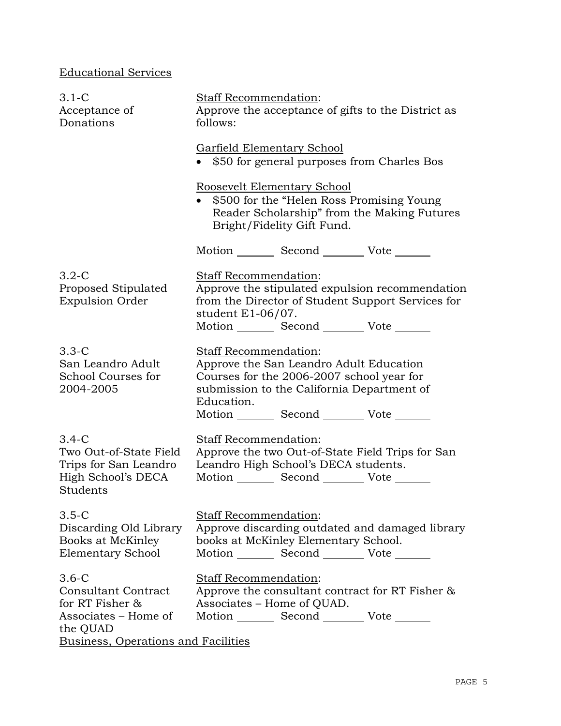# Educational Services

| $3.1-C$<br>Acceptance of<br>Donations                                                                                               | <b>Staff Recommendation:</b><br>Approve the acceptance of gifts to the District as<br>follows:                                                                                                                               |  |  |
|-------------------------------------------------------------------------------------------------------------------------------------|------------------------------------------------------------------------------------------------------------------------------------------------------------------------------------------------------------------------------|--|--|
|                                                                                                                                     | Garfield Elementary School<br>\$50 for general purposes from Charles Bos                                                                                                                                                     |  |  |
|                                                                                                                                     | Roosevelt Elementary School<br>\$500 for the "Helen Ross Promising Young"<br>Reader Scholarship" from the Making Futures<br>Bright/Fidelity Gift Fund.                                                                       |  |  |
|                                                                                                                                     | Motion _________ Second __________ Vote _______                                                                                                                                                                              |  |  |
| $3.2-C$<br>Proposed Stipulated<br><b>Expulsion Order</b>                                                                            | Staff Recommendation:<br>Approve the stipulated expulsion recommendation<br>from the Director of Student Support Services for<br>student $E1-06/07$ .<br>Motion _________ Second __________ Vote _______                     |  |  |
| $3.3-C$<br>San Leandro Adult<br>School Courses for<br>2004-2005                                                                     | Staff Recommendation:<br>Approve the San Leandro Adult Education<br>Courses for the 2006-2007 school year for<br>submission to the California Department of<br>Education.<br>Motion _________ Second __________ Vote _______ |  |  |
| $3.4-C$<br>Two Out-of-State Field<br>Trips for San Leandro<br>High School's DECA<br>Students                                        | Staff Recommendation:<br>Approve the two Out-of-State Field Trips for San<br>Leandro High School's DECA students.<br>Motion _________ Second __________ Vote _______                                                         |  |  |
| $3.5-C$<br>Discarding Old Library<br>Books at McKinley<br><b>Elementary School</b>                                                  | Staff Recommendation:<br>Approve discarding outdated and damaged library<br>books at McKinley Elementary School.<br>Motion _________ Second __________ Vote _______                                                          |  |  |
| $3.6-C$<br><b>Consultant Contract</b><br>for RT Fisher &<br>Associates – Home of<br>the QUAD<br>Business, Operations and Facilities | Staff Recommendation:<br>Approve the consultant contract for RT Fisher &<br>Associates - Home of QUAD.<br>Motion _________ Second __________ Vote _______                                                                    |  |  |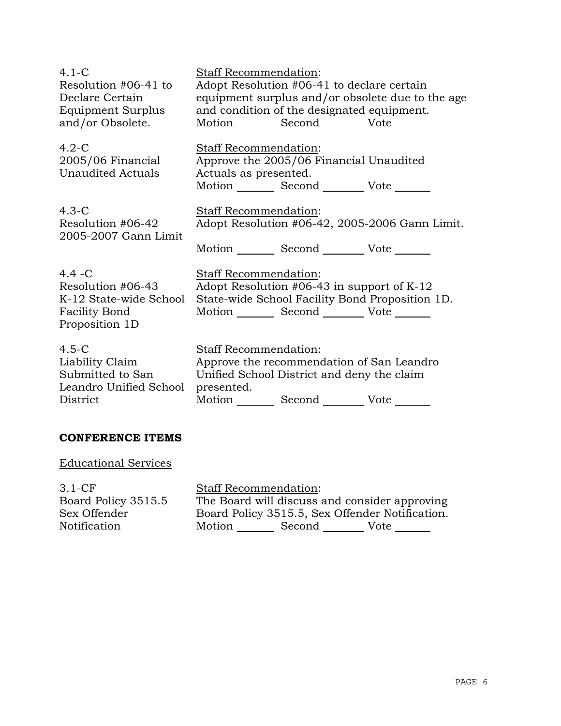| $4.1 - C$                                                                                          | Staff Recommendation:                                                                                                                                 |
|----------------------------------------------------------------------------------------------------|-------------------------------------------------------------------------------------------------------------------------------------------------------|
| Resolution #06-41 to                                                                               | Adopt Resolution #06-41 to declare certain                                                                                                            |
| Declare Certain                                                                                    | equipment surplus and/or obsolete due to the age                                                                                                      |
| Equipment Surplus                                                                                  | and condition of the designated equipment.                                                                                                            |
| and/or Obsolete.                                                                                   | Motion Second Vote ______                                                                                                                             |
| $4.2-C$<br>2005/06 Financial<br><b>Unaudited Actuals</b>                                           | <b>Staff Recommendation:</b><br>Approve the 2005/06 Financial Unaudited<br>Actuals as presented.<br>Motion _________ Second __________ Vote _______   |
| $4.3-C$                                                                                            | <b>Staff Recommendation:</b>                                                                                                                          |
| Resolution #06-42                                                                                  | Adopt Resolution #06-42, 2005-2006 Gann Limit.                                                                                                        |
| 2005-2007 Gann Limit                                                                               | Motion _________ Second __________ Vote _______                                                                                                       |
| $4.4 - C$<br>Resolution #06-43<br>K-12 State-wide School<br><b>Facility Bond</b><br>Proposition 1D | Staff Recommendation:<br>Adopt Resolution #06-43 in support of $K-12$<br>State-wide School Facility Bond Proposition 1D.<br>Motion Second Vote ______ |
| $4.5-C$                                                                                            | <b>Staff Recommendation:</b>                                                                                                                          |
| Liability Claim                                                                                    | Approve the recommendation of San Leandro                                                                                                             |
| Submitted to San                                                                                   | Unified School District and deny the claim                                                                                                            |
| Leandro Unified School                                                                             | presented.                                                                                                                                            |
| District                                                                                           | Motion Second Vote                                                                                                                                    |

### **CONFERENCE ITEMS**

Educational Services

3.1-CF Board Policy 3515.5 Sex Offender Notification

Staff Recommendation: The Board will discuss and consider approving Board Policy 3515.5, Sex Offender Notification. Motion Second Vote \_\_\_\_\_\_